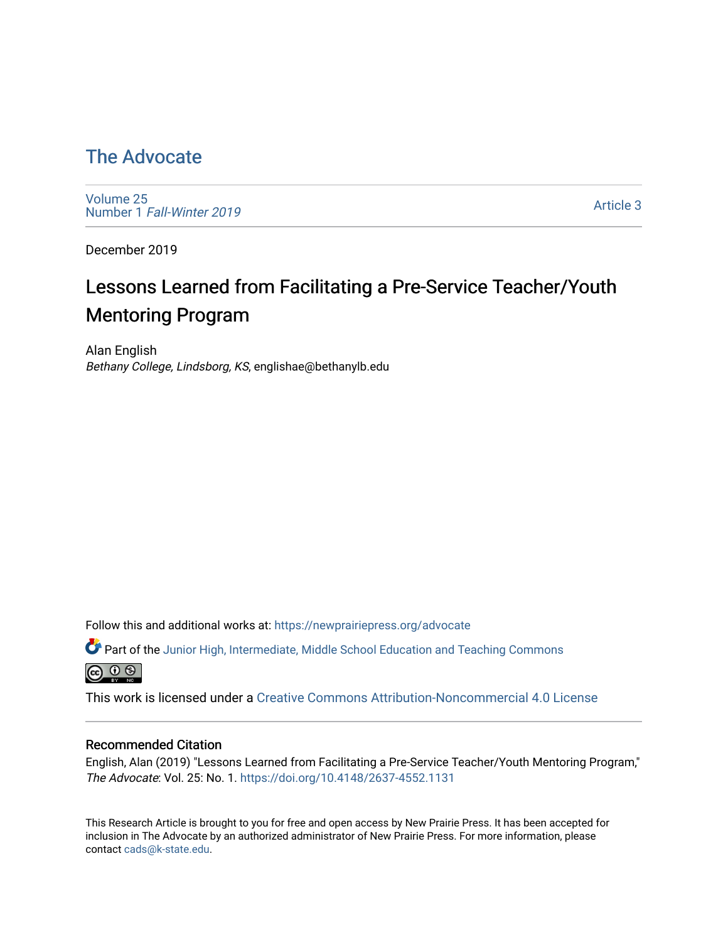# [The Advocate](https://newprairiepress.org/advocate)

[Volume 25](https://newprairiepress.org/advocate/vol25) Number 1 [Fall-Winter 2019](https://newprairiepress.org/advocate/vol25/iss1)

[Article 3](https://newprairiepress.org/advocate/vol25/iss1/3) 

December 2019

# Lessons Learned from Facilitating a Pre-Service Teacher/Youth Mentoring Program

Alan English Bethany College, Lindsborg, KS, englishae@bethanylb.edu

Follow this and additional works at: [https://newprairiepress.org/advocate](https://newprairiepress.org/advocate?utm_source=newprairiepress.org%2Fadvocate%2Fvol25%2Fiss1%2F3&utm_medium=PDF&utm_campaign=PDFCoverPages) 

Part of the [Junior High, Intermediate, Middle School Education and Teaching Commons](http://network.bepress.com/hgg/discipline/807?utm_source=newprairiepress.org%2Fadvocate%2Fvol25%2Fiss1%2F3&utm_medium=PDF&utm_campaign=PDFCoverPages) <u>ெ ெ ⊜</u>

This work is licensed under a [Creative Commons Attribution-Noncommercial 4.0 License](https://creativecommons.org/licenses/by-nc/4.0/)

#### Recommended Citation

English, Alan (2019) "Lessons Learned from Facilitating a Pre-Service Teacher/Youth Mentoring Program," The Advocate: Vol. 25: No. 1.<https://doi.org/10.4148/2637-4552.1131>

This Research Article is brought to you for free and open access by New Prairie Press. It has been accepted for inclusion in The Advocate by an authorized administrator of New Prairie Press. For more information, please contact [cads@k-state.edu](mailto:cads@k-state.edu).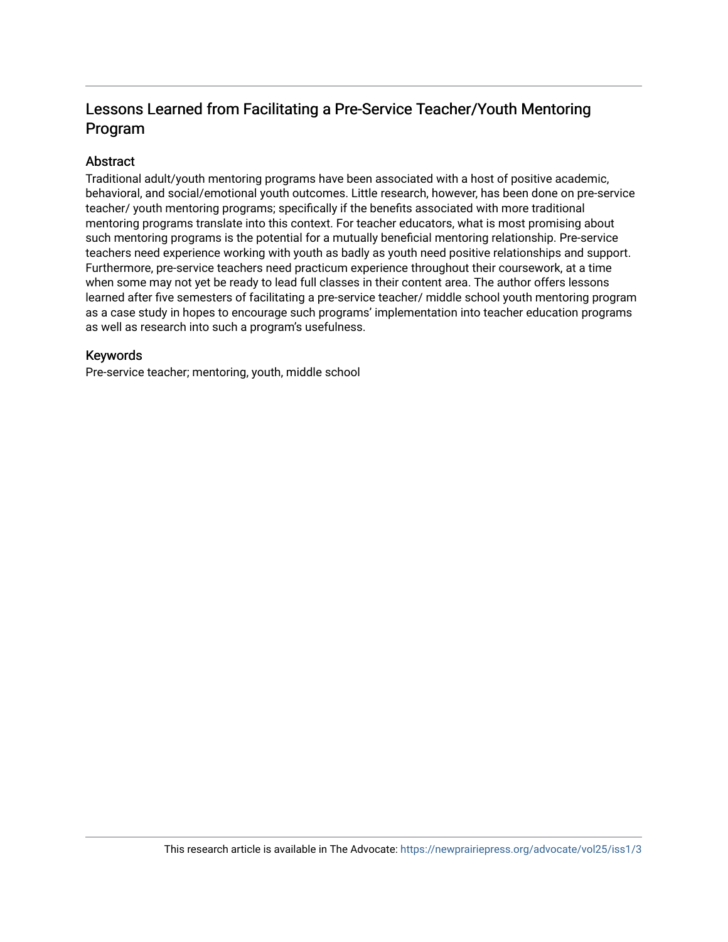# Lessons Learned from Facilitating a Pre-Service Teacher/Youth Mentoring Program

## Abstract

Traditional adult/youth mentoring programs have been associated with a host of positive academic, behavioral, and social/emotional youth outcomes. Little research, however, has been done on pre-service teacher/ youth mentoring programs; specifically if the benefits associated with more traditional mentoring programs translate into this context. For teacher educators, what is most promising about such mentoring programs is the potential for a mutually beneficial mentoring relationship. Pre-service teachers need experience working with youth as badly as youth need positive relationships and support. Furthermore, pre-service teachers need practicum experience throughout their coursework, at a time when some may not yet be ready to lead full classes in their content area. The author offers lessons learned after five semesters of facilitating a pre-service teacher/ middle school youth mentoring program as a case study in hopes to encourage such programs' implementation into teacher education programs as well as research into such a program's usefulness.

### Keywords

Pre-service teacher; mentoring, youth, middle school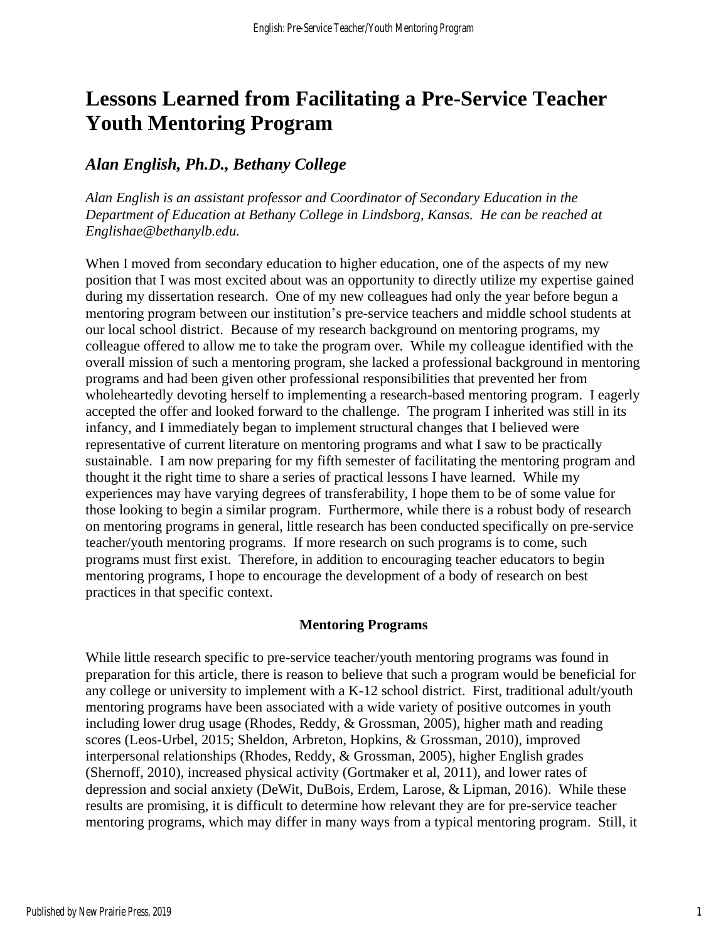# **Lessons Learned from Facilitating a Pre-Service Teacher Youth Mentoring Program**

# *Alan English, Ph.D., Bethany College*

*Alan English is an assistant professor and Coordinator of Secondary Education in the Department of Education at Bethany College in Lindsborg, Kansas. He can be reached at Englishae@bethanylb.edu.*

When I moved from secondary education to higher education, one of the aspects of my new position that I was most excited about was an opportunity to directly utilize my expertise gained during my dissertation research. One of my new colleagues had only the year before begun a mentoring program between our institution's pre-service teachers and middle school students at our local school district. Because of my research background on mentoring programs, my colleague offered to allow me to take the program over. While my colleague identified with the overall mission of such a mentoring program, she lacked a professional background in mentoring programs and had been given other professional responsibilities that prevented her from wholeheartedly devoting herself to implementing a research-based mentoring program. I eagerly accepted the offer and looked forward to the challenge. The program I inherited was still in its infancy, and I immediately began to implement structural changes that I believed were representative of current literature on mentoring programs and what I saw to be practically sustainable. I am now preparing for my fifth semester of facilitating the mentoring program and thought it the right time to share a series of practical lessons I have learned. While my experiences may have varying degrees of transferability, I hope them to be of some value for those looking to begin a similar program. Furthermore, while there is a robust body of research on mentoring programs in general, little research has been conducted specifically on pre-service teacher/youth mentoring programs. If more research on such programs is to come, such programs must first exist. Therefore, in addition to encouraging teacher educators to begin mentoring programs, I hope to encourage the development of a body of research on best practices in that specific context.

### **Mentoring Programs**

While little research specific to pre-service teacher/youth mentoring programs was found in preparation for this article, there is reason to believe that such a program would be beneficial for any college or university to implement with a K-12 school district. First, traditional adult/youth mentoring programs have been associated with a wide variety of positive outcomes in youth including lower drug usage (Rhodes, Reddy, & Grossman, 2005), higher math and reading scores (Leos-Urbel, 2015; Sheldon, Arbreton, Hopkins, & Grossman, 2010), improved interpersonal relationships (Rhodes, Reddy, & Grossman, 2005), higher English grades (Shernoff, 2010), increased physical activity (Gortmaker et al, 2011), and lower rates of depression and social anxiety (DeWit, DuBois, Erdem, Larose, & Lipman, 2016). While these results are promising, it is difficult to determine how relevant they are for pre-service teacher mentoring programs, which may differ in many ways from a typical mentoring program. Still, it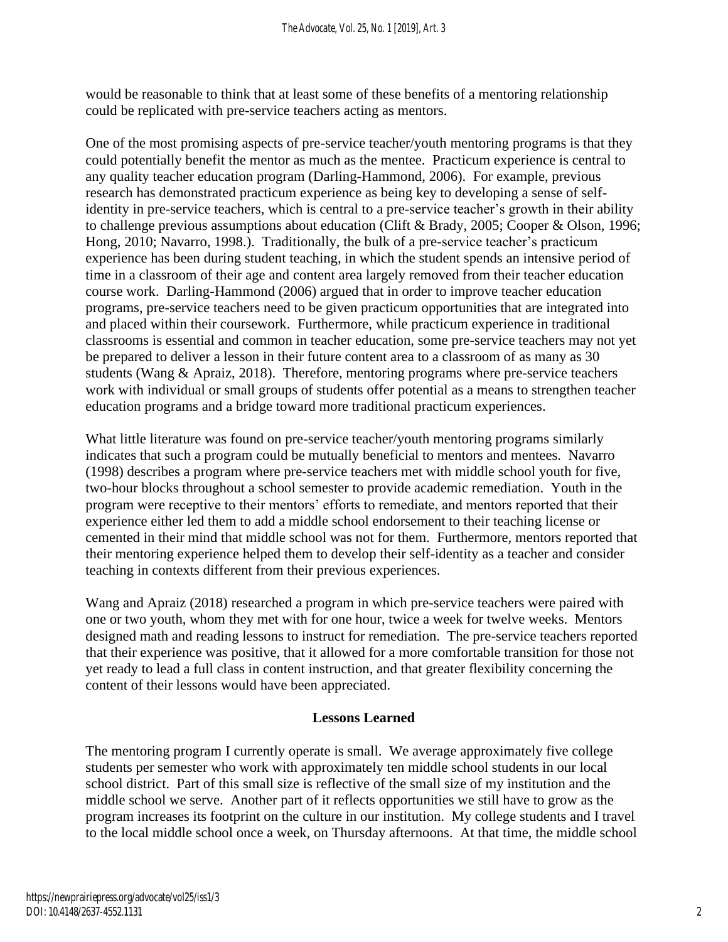would be reasonable to think that at least some of these benefits of a mentoring relationship could be replicated with pre-service teachers acting as mentors.

One of the most promising aspects of pre-service teacher/youth mentoring programs is that they could potentially benefit the mentor as much as the mentee. Practicum experience is central to any quality teacher education program (Darling-Hammond, 2006). For example, previous research has demonstrated practicum experience as being key to developing a sense of selfidentity in pre-service teachers, which is central to a pre-service teacher's growth in their ability to challenge previous assumptions about education (Clift & Brady, 2005; Cooper & Olson, 1996; Hong, 2010; Navarro, 1998.). Traditionally, the bulk of a pre-service teacher's practicum experience has been during student teaching, in which the student spends an intensive period of time in a classroom of their age and content area largely removed from their teacher education course work. Darling-Hammond (2006) argued that in order to improve teacher education programs, pre-service teachers need to be given practicum opportunities that are integrated into and placed within their coursework. Furthermore, while practicum experience in traditional classrooms is essential and common in teacher education, some pre-service teachers may not yet be prepared to deliver a lesson in their future content area to a classroom of as many as 30 students (Wang & Apraiz, 2018). Therefore, mentoring programs where pre-service teachers work with individual or small groups of students offer potential as a means to strengthen teacher education programs and a bridge toward more traditional practicum experiences.

What little literature was found on pre-service teacher/youth mentoring programs similarly indicates that such a program could be mutually beneficial to mentors and mentees. Navarro (1998) describes a program where pre-service teachers met with middle school youth for five, two-hour blocks throughout a school semester to provide academic remediation. Youth in the program were receptive to their mentors' efforts to remediate, and mentors reported that their experience either led them to add a middle school endorsement to their teaching license or cemented in their mind that middle school was not for them. Furthermore, mentors reported that their mentoring experience helped them to develop their self-identity as a teacher and consider teaching in contexts different from their previous experiences.

Wang and Apraiz (2018) researched a program in which pre-service teachers were paired with one or two youth, whom they met with for one hour, twice a week for twelve weeks. Mentors designed math and reading lessons to instruct for remediation. The pre-service teachers reported that their experience was positive, that it allowed for a more comfortable transition for those not yet ready to lead a full class in content instruction, and that greater flexibility concerning the content of their lessons would have been appreciated.

# **Lessons Learned**

The mentoring program I currently operate is small. We average approximately five college students per semester who work with approximately ten middle school students in our local school district. Part of this small size is reflective of the small size of my institution and the middle school we serve. Another part of it reflects opportunities we still have to grow as the program increases its footprint on the culture in our institution. My college students and I travel to the local middle school once a week, on Thursday afternoons. At that time, the middle school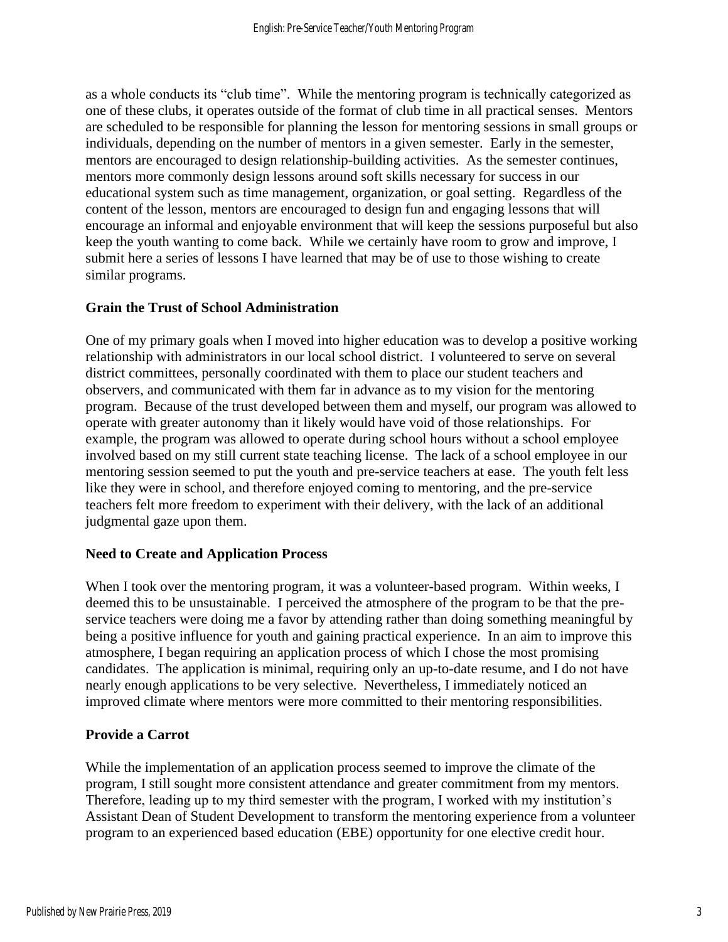as a whole conducts its "club time". While the mentoring program is technically categorized as one of these clubs, it operates outside of the format of club time in all practical senses. Mentors are scheduled to be responsible for planning the lesson for mentoring sessions in small groups or individuals, depending on the number of mentors in a given semester. Early in the semester, mentors are encouraged to design relationship-building activities. As the semester continues, mentors more commonly design lessons around soft skills necessary for success in our educational system such as time management, organization, or goal setting. Regardless of the content of the lesson, mentors are encouraged to design fun and engaging lessons that will encourage an informal and enjoyable environment that will keep the sessions purposeful but also keep the youth wanting to come back. While we certainly have room to grow and improve, I submit here a series of lessons I have learned that may be of use to those wishing to create similar programs.

# **Grain the Trust of School Administration**

One of my primary goals when I moved into higher education was to develop a positive working relationship with administrators in our local school district. I volunteered to serve on several district committees, personally coordinated with them to place our student teachers and observers, and communicated with them far in advance as to my vision for the mentoring program. Because of the trust developed between them and myself, our program was allowed to operate with greater autonomy than it likely would have void of those relationships. For example, the program was allowed to operate during school hours without a school employee involved based on my still current state teaching license. The lack of a school employee in our mentoring session seemed to put the youth and pre-service teachers at ease. The youth felt less like they were in school, and therefore enjoyed coming to mentoring, and the pre-service teachers felt more freedom to experiment with their delivery, with the lack of an additional judgmental gaze upon them.

### **Need to Create and Application Process**

When I took over the mentoring program, it was a volunteer-based program. Within weeks, I deemed this to be unsustainable. I perceived the atmosphere of the program to be that the preservice teachers were doing me a favor by attending rather than doing something meaningful by being a positive influence for youth and gaining practical experience. In an aim to improve this atmosphere, I began requiring an application process of which I chose the most promising candidates. The application is minimal, requiring only an up-to-date resume, and I do not have nearly enough applications to be very selective. Nevertheless, I immediately noticed an improved climate where mentors were more committed to their mentoring responsibilities.

# **Provide a Carrot**

While the implementation of an application process seemed to improve the climate of the program, I still sought more consistent attendance and greater commitment from my mentors. Therefore, leading up to my third semester with the program, I worked with my institution's Assistant Dean of Student Development to transform the mentoring experience from a volunteer program to an experienced based education (EBE) opportunity for one elective credit hour.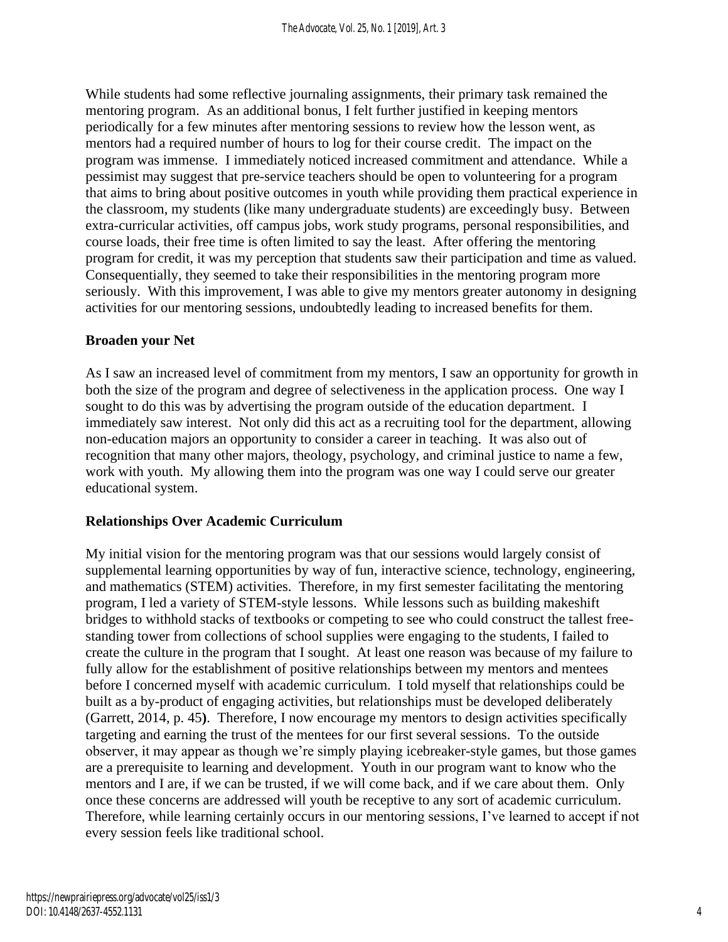While students had some reflective journaling assignments, their primary task remained the mentoring program. As an additional bonus, I felt further justified in keeping mentors periodically for a few minutes after mentoring sessions to review how the lesson went, as mentors had a required number of hours to log for their course credit. The impact on the program was immense. I immediately noticed increased commitment and attendance. While a pessimist may suggest that pre-service teachers should be open to volunteering for a program that aims to bring about positive outcomes in youth while providing them practical experience in the classroom, my students (like many undergraduate students) are exceedingly busy. Between extra-curricular activities, off campus jobs, work study programs, personal responsibilities, and course loads, their free time is often limited to say the least. After offering the mentoring program for credit, it was my perception that students saw their participation and time as valued. Consequentially, they seemed to take their responsibilities in the mentoring program more seriously. With this improvement, I was able to give my mentors greater autonomy in designing activities for our mentoring sessions, undoubtedly leading to increased benefits for them.

### **Broaden your Net**

As I saw an increased level of commitment from my mentors, I saw an opportunity for growth in both the size of the program and degree of selectiveness in the application process. One way I sought to do this was by advertising the program outside of the education department. I immediately saw interest. Not only did this act as a recruiting tool for the department, allowing non-education majors an opportunity to consider a career in teaching. It was also out of recognition that many other majors, theology, psychology, and criminal justice to name a few, work with youth. My allowing them into the program was one way I could serve our greater educational system.

### **Relationships Over Academic Curriculum**

My initial vision for the mentoring program was that our sessions would largely consist of supplemental learning opportunities by way of fun, interactive science, technology, engineering, and mathematics (STEM) activities. Therefore, in my first semester facilitating the mentoring program, I led a variety of STEM-style lessons. While lessons such as building makeshift bridges to withhold stacks of textbooks or competing to see who could construct the tallest freestanding tower from collections of school supplies were engaging to the students, I failed to create the culture in the program that I sought. At least one reason was because of my failure to fully allow for the establishment of positive relationships between my mentors and mentees before I concerned myself with academic curriculum. I told myself that relationships could be built as a by-product of engaging activities, but relationships must be developed deliberately (Garrett, 2014, p. 45**)**. Therefore, I now encourage my mentors to design activities specifically targeting and earning the trust of the mentees for our first several sessions. To the outside observer, it may appear as though we're simply playing icebreaker-style games, but those games are a prerequisite to learning and development. Youth in our program want to know who the mentors and I are, if we can be trusted, if we will come back, and if we care about them. Only once these concerns are addressed will youth be receptive to any sort of academic curriculum. Therefore, while learning certainly occurs in our mentoring sessions, I've learned to accept if not every session feels like traditional school.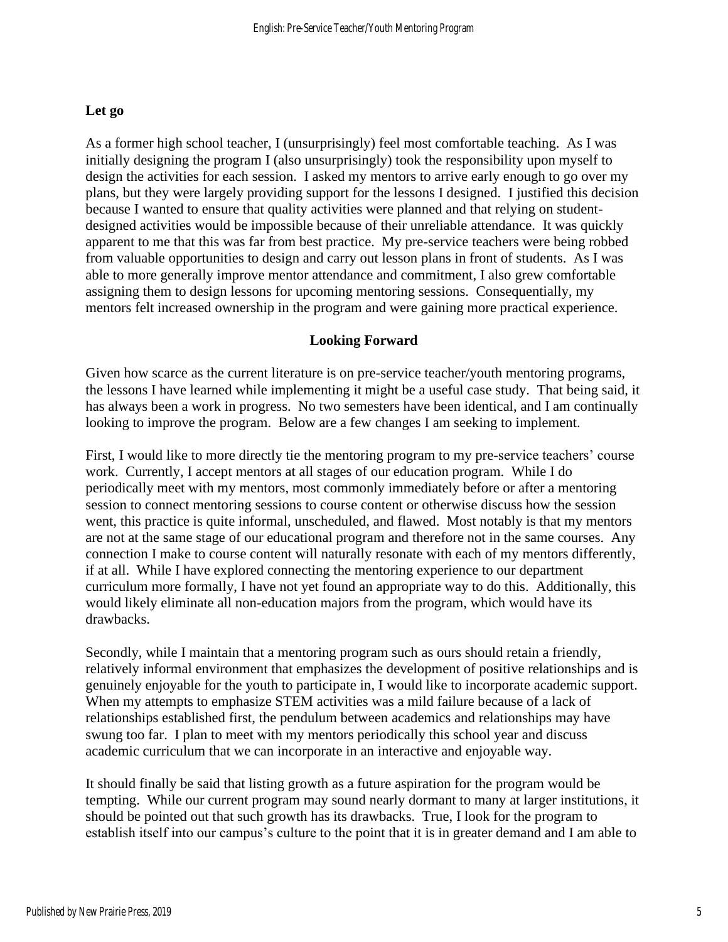# **Let go**

As a former high school teacher, I (unsurprisingly) feel most comfortable teaching. As I was initially designing the program I (also unsurprisingly) took the responsibility upon myself to design the activities for each session. I asked my mentors to arrive early enough to go over my plans, but they were largely providing support for the lessons I designed. I justified this decision because I wanted to ensure that quality activities were planned and that relying on studentdesigned activities would be impossible because of their unreliable attendance. It was quickly apparent to me that this was far from best practice. My pre-service teachers were being robbed from valuable opportunities to design and carry out lesson plans in front of students. As I was able to more generally improve mentor attendance and commitment, I also grew comfortable assigning them to design lessons for upcoming mentoring sessions. Consequentially, my mentors felt increased ownership in the program and were gaining more practical experience.

# **Looking Forward**

Given how scarce as the current literature is on pre-service teacher/youth mentoring programs, the lessons I have learned while implementing it might be a useful case study. That being said, it has always been a work in progress. No two semesters have been identical, and I am continually looking to improve the program. Below are a few changes I am seeking to implement.

First, I would like to more directly tie the mentoring program to my pre-service teachers' course work. Currently, I accept mentors at all stages of our education program. While I do periodically meet with my mentors, most commonly immediately before or after a mentoring session to connect mentoring sessions to course content or otherwise discuss how the session went, this practice is quite informal, unscheduled, and flawed. Most notably is that my mentors are not at the same stage of our educational program and therefore not in the same courses. Any connection I make to course content will naturally resonate with each of my mentors differently, if at all. While I have explored connecting the mentoring experience to our department curriculum more formally, I have not yet found an appropriate way to do this. Additionally, this would likely eliminate all non-education majors from the program, which would have its drawbacks.

Secondly, while I maintain that a mentoring program such as ours should retain a friendly, relatively informal environment that emphasizes the development of positive relationships and is genuinely enjoyable for the youth to participate in, I would like to incorporate academic support. When my attempts to emphasize STEM activities was a mild failure because of a lack of relationships established first, the pendulum between academics and relationships may have swung too far. I plan to meet with my mentors periodically this school year and discuss academic curriculum that we can incorporate in an interactive and enjoyable way.

It should finally be said that listing growth as a future aspiration for the program would be tempting. While our current program may sound nearly dormant to many at larger institutions, it should be pointed out that such growth has its drawbacks. True, I look for the program to establish itself into our campus's culture to the point that it is in greater demand and I am able to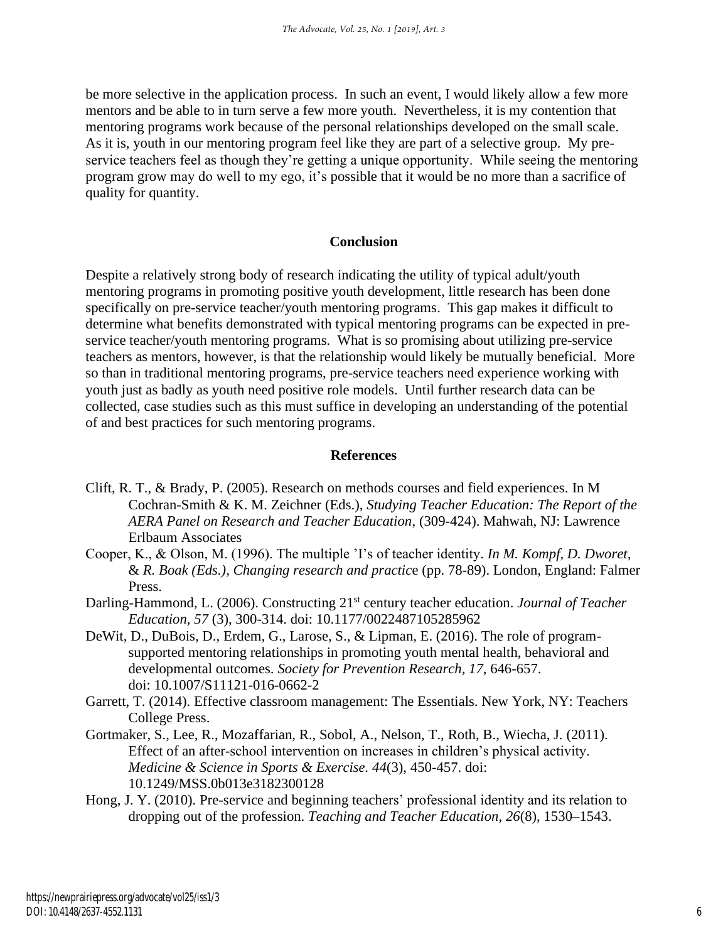be more selective in the application process. In such an event, I would likely allow a few more mentors and be able to in turn serve a few more youth. Nevertheless, it is my contention that mentoring programs work because of the personal relationships developed on the small scale. As it is, youth in our mentoring program feel like they are part of a selective group. My preservice teachers feel as though they're getting a unique opportunity. While seeing the mentoring program grow may do well to my ego, it's possible that it would be no more than a sacrifice of quality for quantity.

### **Conclusion**

Despite a relatively strong body of research indicating the utility of typical adult/youth mentoring programs in promoting positive youth development, little research has been done specifically on pre-service teacher/youth mentoring programs. This gap makes it difficult to determine what benefits demonstrated with typical mentoring programs can be expected in preservice teacher/youth mentoring programs. What is so promising about utilizing pre-service teachers as mentors, however, is that the relationship would likely be mutually beneficial. More so than in traditional mentoring programs, pre-service teachers need experience working with youth just as badly as youth need positive role models. Until further research data can be collected, case studies such as this must suffice in developing an understanding of the potential of and best practices for such mentoring programs.

#### **References**

- Clift, R. T., & Brady, P. (2005). Research on methods courses and field experiences. In M Cochran-Smith & K. M. Zeichner (Eds.), *Studying Teacher Education: The Report of the AERA Panel on Research and Teacher Education*, (309-424). Mahwah, NJ: Lawrence Erlbaum Associates
- Cooper, K., & Olson, M. (1996). The multiple 'I's of teacher identity. *In M. Kompf, D. Dworet,* & *R. Boak (Eds.), Changing research and practic*e (pp. 78-89). London, England: Falmer Press.
- Darling-Hammond, L. (2006). Constructing 21<sup>st</sup> century teacher education. *Journal of Teacher Education, 57* (3), 300-314. doi: 10.1177/0022487105285962
- DeWit, D., DuBois, D., Erdem, G., Larose, S., & Lipman, E. (2016). The role of programsupported mentoring relationships in promoting youth mental health, behavioral and developmental outcomes. *Society for Prevention Research, 17*, 646-657. doi: 10.1007/S11121-016-0662-2
- Garrett, T. (2014). Effective classroom management: The Essentials. New York, NY: Teachers College Press.
- Gortmaker, S., Lee, R., Mozaffarian, R., Sobol, A., Nelson, T., Roth, B., Wiecha, J. (2011). Effect of an after-school intervention on increases in children's physical activity. *Medicine & Science in Sports & Exercise. 44*(3), 450-457. doi: 10.1249/MSS.0b013e3182300128
- Hong, J. Y. (2010). Pre-service and beginning teachers' professional identity and its relation to dropping out of the profession. *Teaching and Teacher Education*, *26*(8), 1530–1543.